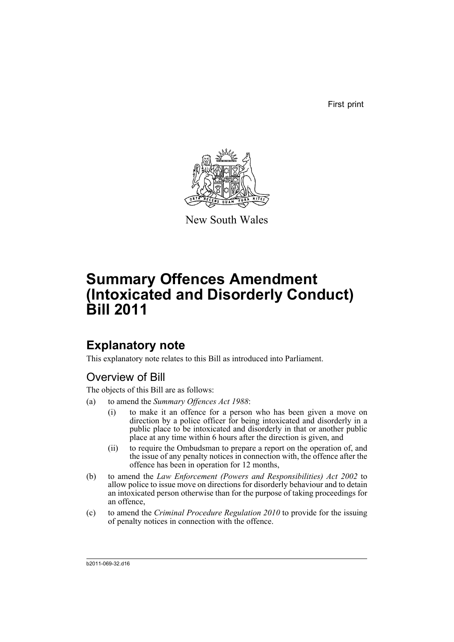First print



New South Wales

# **Summary Offences Amendment (Intoxicated and Disorderly Conduct) Bill 2011**

## **Explanatory note**

This explanatory note relates to this Bill as introduced into Parliament.

## Overview of Bill

The objects of this Bill are as follows:

- (a) to amend the *Summary Offences Act 1988*:
	- (i) to make it an offence for a person who has been given a move on direction by a police officer for being intoxicated and disorderly in a public place to be intoxicated and disorderly in that or another public place at any time within 6 hours after the direction is given, and
	- (ii) to require the Ombudsman to prepare a report on the operation of, and the issue of any penalty notices in connection with, the offence after the offence has been in operation for 12 months,
- (b) to amend the *Law Enforcement (Powers and Responsibilities) Act 2002* to allow police to issue move on directions for disorderly behaviour and to detain an intoxicated person otherwise than for the purpose of taking proceedings for an offence,
- (c) to amend the *Criminal Procedure Regulation 2010* to provide for the issuing of penalty notices in connection with the offence.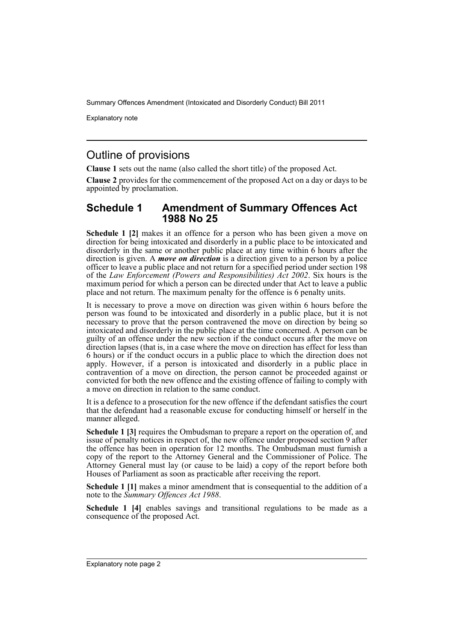Explanatory note

## Outline of provisions

**Clause 1** sets out the name (also called the short title) of the proposed Act.

**Clause 2** provides for the commencement of the proposed Act on a day or days to be appointed by proclamation.

#### **Schedule 1 Amendment of Summary Offences Act 1988 No 25**

**Schedule 1 [2]** makes it an offence for a person who has been given a move on direction for being intoxicated and disorderly in a public place to be intoxicated and disorderly in the same or another public place at any time within 6 hours after the direction is given. A *move on direction* is a direction given to a person by a police officer to leave a public place and not return for a specified period under section 198 of the *Law Enforcement (Powers and Responsibilities) Act 2002*. Six hours is the maximum period for which a person can be directed under that Act to leave a public place and not return. The maximum penalty for the offence is 6 penalty units.

It is necessary to prove a move on direction was given within 6 hours before the person was found to be intoxicated and disorderly in a public place, but it is not necessary to prove that the person contravened the move on direction by being so intoxicated and disorderly in the public place at the time concerned. A person can be guilty of an offence under the new section if the conduct occurs after the move on direction lapses (that is, in a case where the move on direction has effect for less than 6 hours) or if the conduct occurs in a public place to which the direction does not apply. However, if a person is intoxicated and disorderly in a public place in contravention of a move on direction, the person cannot be proceeded against or convicted for both the new offence and the existing offence of failing to comply with a move on direction in relation to the same conduct.

It is a defence to a prosecution for the new offence if the defendant satisfies the court that the defendant had a reasonable excuse for conducting himself or herself in the manner alleged.

**Schedule 1 [3]** requires the Ombudsman to prepare a report on the operation of, and issue of penalty notices in respect of, the new offence under proposed section 9 after the offence has been in operation for 12 months. The Ombudsman must furnish a copy of the report to the Attorney General and the Commissioner of Police. The Attorney General must lay (or cause to be laid) a copy of the report before both Houses of Parliament as soon as practicable after receiving the report.

**Schedule 1 [1]** makes a minor amendment that is consequential to the addition of a note to the *Summary Offences Act 1988*.

**Schedule 1 [4]** enables savings and transitional regulations to be made as a consequence of the proposed Act.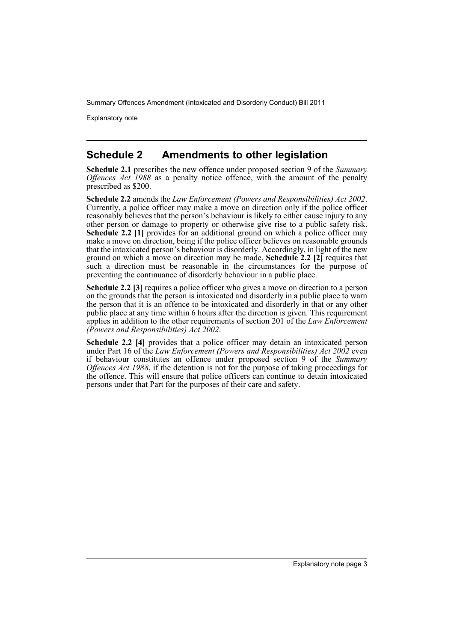Explanatory note

### **Schedule 2 Amendments to other legislation**

**Schedule 2.1** prescribes the new offence under proposed section 9 of the *Summary Offences Act 1988* as a penalty notice offence, with the amount of the penalty prescribed as \$200.

**Schedule 2.2** amends the *Law Enforcement (Powers and Responsibilities) Act 2002*. Currently, a police officer may make a move on direction only if the police officer reasonably believes that the person's behaviour is likely to either cause injury to any other person or damage to property or otherwise give rise to a public safety risk. **Schedule 2.2 [1]** provides for an additional ground on which a police officer may make a move on direction, being if the police officer believes on reasonable grounds that the intoxicated person's behaviour is disorderly. Accordingly, in light of the new ground on which a move on direction may be made, **Schedule 2.2 [2]** requires that such a direction must be reasonable in the circumstances for the purpose of preventing the continuance of disorderly behaviour in a public place.

**Schedule 2.2 [3]** requires a police officer who gives a move on direction to a person on the grounds that the person is intoxicated and disorderly in a public place to warn the person that it is an offence to be intoxicated and disorderly in that or any other public place at any time within 6 hours after the direction is given. This requirement applies in addition to the other requirements of section 201 of the *Law Enforcement (Powers and Responsibilities) Act 2002*.

**Schedule 2.2 [4]** provides that a police officer may detain an intoxicated person under Part 16 of the *Law Enforcement (Powers and Responsibilities) Act 2002* even if behaviour constitutes an offence under proposed section 9 of the *Summary Offences Act 1988*, if the detention is not for the purpose of taking proceedings for the offence. This will ensure that police officers can continue to detain intoxicated persons under that Part for the purposes of their care and safety.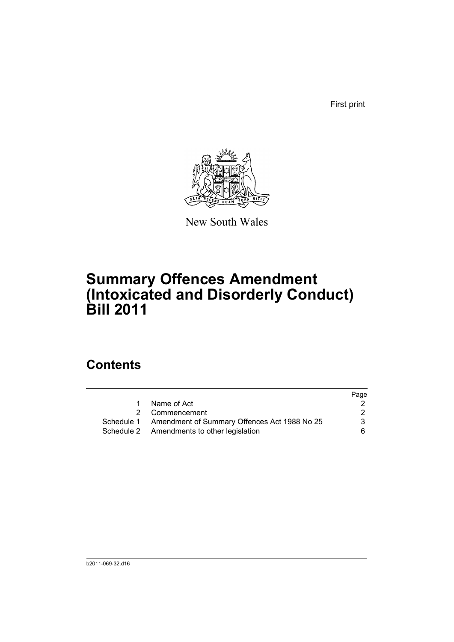First print



New South Wales

# **Summary Offences Amendment (Intoxicated and Disorderly Conduct) Bill 2011**

## **Contents**

|             |                                                         | Page |
|-------------|---------------------------------------------------------|------|
| $\mathbf 1$ | Name of Act                                             |      |
|             | 2 Commencement                                          | 2    |
|             | Schedule 1 Amendment of Summary Offences Act 1988 No 25 | 3.   |
|             | Schedule 2 Amendments to other legislation              | 6.   |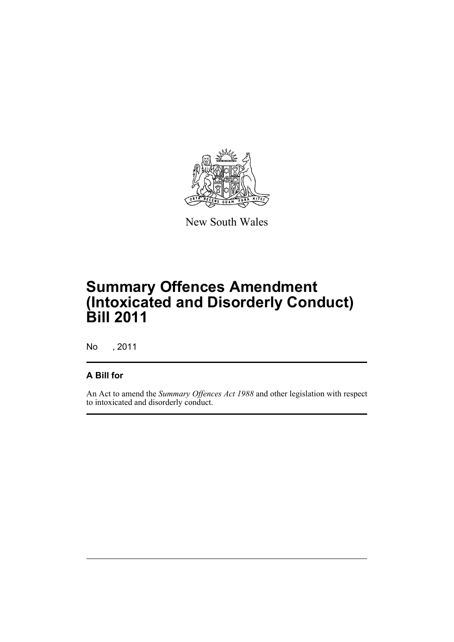

New South Wales

# **Summary Offences Amendment (Intoxicated and Disorderly Conduct) Bill 2011**

No , 2011

#### **A Bill for**

An Act to amend the *Summary Offences Act 1988* and other legislation with respect to intoxicated and disorderly conduct.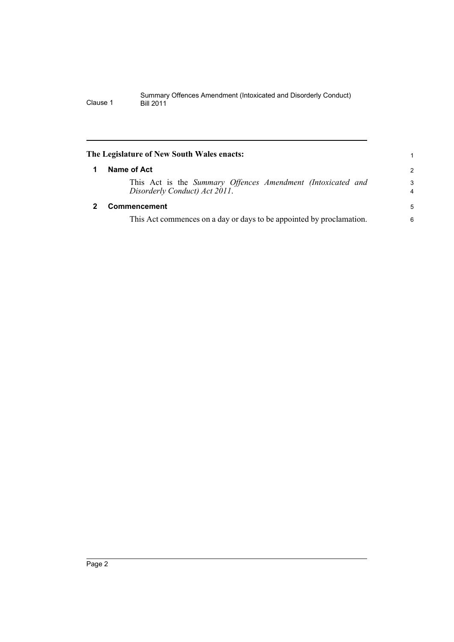<span id="page-7-1"></span><span id="page-7-0"></span>

| The Legislature of New South Wales enacts: |                                                                                              |               |  |  |
|--------------------------------------------|----------------------------------------------------------------------------------------------|---------------|--|--|
|                                            | Name of Act                                                                                  | $\mathcal{P}$ |  |  |
|                                            | This Act is the Summary Offences Amendment (Intoxicated and<br>Disorderly Conduct) Act 2011. | 3<br>4        |  |  |
|                                            | <b>Commencement</b>                                                                          | 5             |  |  |
|                                            | This Act commences on a day or days to be appointed by proclamation.                         |               |  |  |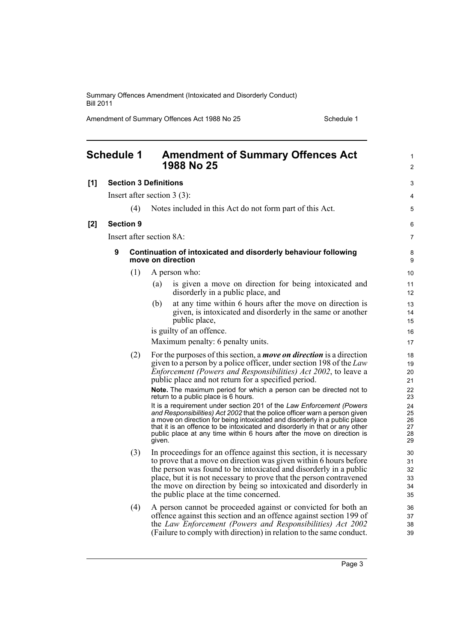Amendment of Summary Offences Act 1988 No 25 Schedule 1

<span id="page-8-0"></span>

|     | <b>Schedule 1</b> |                  | <b>Amendment of Summary Offences Act</b><br>1988 No 25                                                                                                                                                                                                                                                                                                                                              | 1<br>$\overline{2}$              |
|-----|-------------------|------------------|-----------------------------------------------------------------------------------------------------------------------------------------------------------------------------------------------------------------------------------------------------------------------------------------------------------------------------------------------------------------------------------------------------|----------------------------------|
| [1] |                   |                  | <b>Section 3 Definitions</b>                                                                                                                                                                                                                                                                                                                                                                        | 3                                |
|     |                   |                  | Insert after section $3(3)$ :                                                                                                                                                                                                                                                                                                                                                                       | 4                                |
|     |                   | (4)              | Notes included in this Act do not form part of this Act.                                                                                                                                                                                                                                                                                                                                            | 5                                |
| [2] |                   | <b>Section 9</b> |                                                                                                                                                                                                                                                                                                                                                                                                     | 6                                |
|     |                   |                  | Insert after section 8A:                                                                                                                                                                                                                                                                                                                                                                            | $\overline{7}$                   |
|     | 9                 |                  | Continuation of intoxicated and disorderly behaviour following<br>move on direction                                                                                                                                                                                                                                                                                                                 | 8<br>9                           |
|     |                   | (1)              | A person who:                                                                                                                                                                                                                                                                                                                                                                                       | 10                               |
|     |                   |                  | is given a move on direction for being intoxicated and<br>(a)<br>disorderly in a public place, and                                                                                                                                                                                                                                                                                                  | 11<br>12                         |
|     |                   |                  | at any time within 6 hours after the move on direction is<br>(b)<br>given, is intoxicated and disorderly in the same or another<br>public place,                                                                                                                                                                                                                                                    | 13<br>14<br>15                   |
|     |                   |                  | is guilty of an offence.                                                                                                                                                                                                                                                                                                                                                                            | 16                               |
|     |                   |                  | Maximum penalty: 6 penalty units.                                                                                                                                                                                                                                                                                                                                                                   | 17                               |
|     |                   | (2)              | For the purposes of this section, a <i>move on direction</i> is a direction<br>given to a person by a police officer, under section 198 of the Law<br><i>Enforcement (Powers and Responsibilities) Act 2002, to leave a</i><br>public place and not return for a specified period.                                                                                                                  | 18<br>19<br>20<br>21             |
|     |                   |                  | Note. The maximum period for which a person can be directed not to<br>return to a public place is 6 hours.                                                                                                                                                                                                                                                                                          | 22<br>23                         |
|     |                   |                  | It is a requirement under section 201 of the Law Enforcement (Powers<br>and Responsibilities) Act 2002 that the police officer warn a person given<br>a move on direction for being intoxicated and disorderly in a public place<br>that it is an offence to be intoxicated and disorderly in that or any other<br>public place at any time within 6 hours after the move on direction is<br>given. | 24<br>25<br>26<br>27<br>28<br>29 |
|     |                   | (3)              | In proceedings for an offence against this section, it is necessary<br>to prove that a move on direction was given within 6 hours before<br>the person was found to be intoxicated and disorderly in a public<br>place, but it is not necessary to prove that the person contravened<br>the move on direction by being so intoxicated and disorderly in<br>the public place at the time concerned.  | 30<br>31<br>32<br>33<br>34<br>35 |
|     |                   | (4)              | A person cannot be proceeded against or convicted for both an<br>offence against this section and an offence against section 199 of<br>the Law Enforcement (Powers and Responsibilities) Act 2002<br>(Failure to comply with direction) in relation to the same conduct.                                                                                                                            | 36<br>37<br>38<br>39             |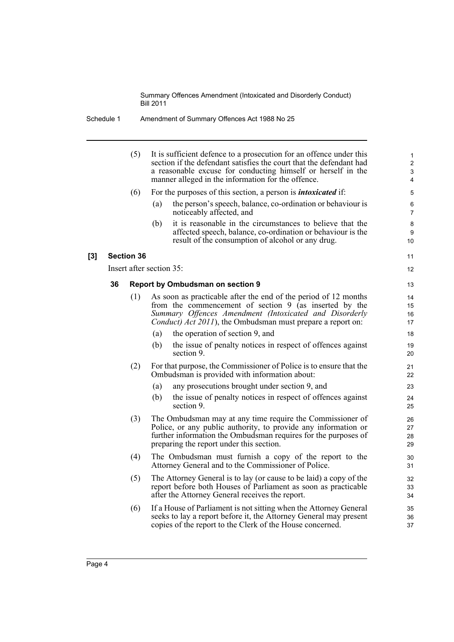| Amendment of Summary Offences Act 1988 No 25<br>Schedule 1 |
|------------------------------------------------------------|
|------------------------------------------------------------|

|       |                   | (5) | It is sufficient defence to a prosecution for an offence under this<br>section if the defendant satisfies the court that the defendant had<br>a reasonable excuse for conducting himself or herself in the<br>manner alleged in the information for the offence. |  |  |  |
|-------|-------------------|-----|------------------------------------------------------------------------------------------------------------------------------------------------------------------------------------------------------------------------------------------------------------------|--|--|--|
|       |                   | (6) | For the purposes of this section, a person is <i>intoxicated</i> if:                                                                                                                                                                                             |  |  |  |
|       |                   |     | the person's speech, balance, co-ordination or behaviour is<br>(a)<br>noticeably affected, and                                                                                                                                                                   |  |  |  |
|       |                   |     | it is reasonable in the circumstances to believe that the<br>(b)<br>affected speech, balance, co-ordination or behaviour is the<br>result of the consumption of alcohol or any drug.                                                                             |  |  |  |
| $[3]$ | <b>Section 36</b> |     |                                                                                                                                                                                                                                                                  |  |  |  |
|       |                   |     | Insert after section 35:                                                                                                                                                                                                                                         |  |  |  |
|       | 36                |     | <b>Report by Ombudsman on section 9</b>                                                                                                                                                                                                                          |  |  |  |
|       |                   | (1) | As soon as practicable after the end of the period of 12 months<br>from the commencement of section $9$ (as inserted by the<br>Summary Offences Amendment (Intoxicated and Disorderly<br><i>Conduct) Act 2011</i> ), the Ombudsman must prepare a report on:     |  |  |  |
|       |                   |     | the operation of section 9, and<br>(a)                                                                                                                                                                                                                           |  |  |  |
|       |                   |     | the issue of penalty notices in respect of offences against<br>(b)<br>section 9.                                                                                                                                                                                 |  |  |  |
|       |                   | (2) | For that purpose, the Commissioner of Police is to ensure that the<br>Ombudsman is provided with information about:                                                                                                                                              |  |  |  |
|       |                   |     | (a)<br>any prosecutions brought under section 9, and                                                                                                                                                                                                             |  |  |  |
|       |                   |     | the issue of penalty notices in respect of offences against<br>(b)<br>section 9.                                                                                                                                                                                 |  |  |  |
|       | (3)               |     | The Ombudsman may at any time require the Commissioner of<br>Police, or any public authority, to provide any information or<br>further information the Ombudsman requires for the purposes of<br>preparing the report under this section.                        |  |  |  |
|       |                   | (4) | The Ombudsman must furnish a copy of the report to the<br>Attorney General and to the Commissioner of Police.                                                                                                                                                    |  |  |  |
|       |                   | (5) | The Attorney General is to lay (or cause to be laid) a copy of the<br>report before both Houses of Parliament as soon as practicable<br>after the Attorney General receives the report.                                                                          |  |  |  |
|       |                   | (6) | If a House of Parliament is not sitting when the Attorney General<br>seeks to lay a report before it, the Attorney General may present<br>copies of the report to the Clerk of the House concerned.                                                              |  |  |  |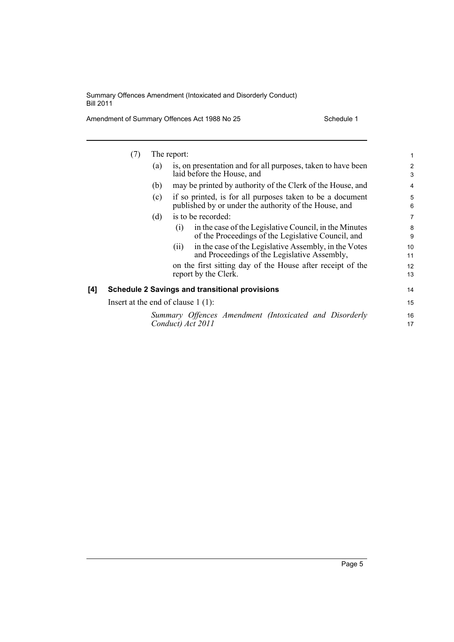Amendment of Summary Offences Act 1988 No 25 Schedule 1

|     | (7)                                  |     | The report: |                                                                                                                    | 1              |
|-----|--------------------------------------|-----|-------------|--------------------------------------------------------------------------------------------------------------------|----------------|
|     |                                      | (a) |             | is, on presentation and for all purposes, taken to have been<br>laid before the House, and                         | 2<br>3         |
|     |                                      | (b) |             | may be printed by authority of the Clerk of the House, and                                                         | 4              |
|     |                                      | (c) |             | if so printed, is for all purposes taken to be a document<br>published by or under the authority of the House, and | 5<br>6         |
|     |                                      | (d) |             | is to be recorded:                                                                                                 | $\overline{7}$ |
|     |                                      |     | (1)         | in the case of the Legislative Council, in the Minutes<br>of the Proceedings of the Legislative Council, and       | 8<br>9         |
|     |                                      |     | (11)        | in the case of the Legislative Assembly, in the Votes<br>and Proceedings of the Legislative Assembly,              | 10<br>11       |
|     |                                      |     |             | on the first sitting day of the House after receipt of the<br>report by the Clerk.                                 | 12<br>13       |
| [4] |                                      |     |             | <b>Schedule 2 Savings and transitional provisions</b>                                                              | 14             |
|     | Insert at the end of clause $1(1)$ : |     |             |                                                                                                                    |                |
|     |                                      |     |             | Summary Offences Amendment (Intoxicated and Disorderly<br>Conduct) Act 2011                                        | 16<br>17       |
|     |                                      |     |             |                                                                                                                    |                |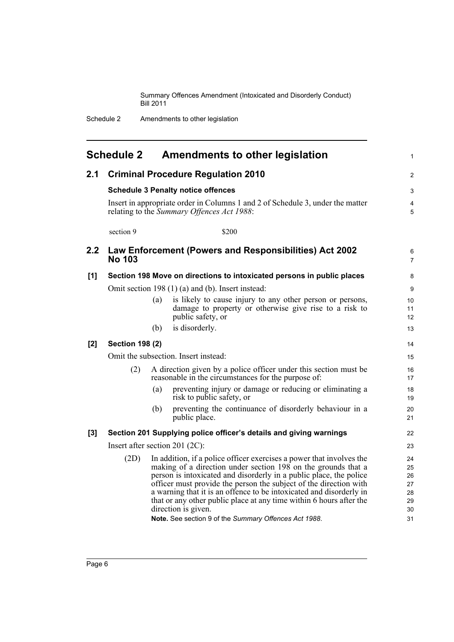Schedule 2 Amendments to other legislation

<span id="page-11-0"></span>

| <b>Schedule 2</b><br>Amendments to other legislation<br>$\mathbf{1}$ |                                                                         |                                                                                                                                                                                                                                                                                                                                                                                                                                                                                                                       |                                              |  |  |
|----------------------------------------------------------------------|-------------------------------------------------------------------------|-----------------------------------------------------------------------------------------------------------------------------------------------------------------------------------------------------------------------------------------------------------------------------------------------------------------------------------------------------------------------------------------------------------------------------------------------------------------------------------------------------------------------|----------------------------------------------|--|--|
| 2.1                                                                  |                                                                         | <b>Criminal Procedure Regulation 2010</b>                                                                                                                                                                                                                                                                                                                                                                                                                                                                             | $\overline{2}$                               |  |  |
|                                                                      |                                                                         | <b>Schedule 3 Penalty notice offences</b>                                                                                                                                                                                                                                                                                                                                                                                                                                                                             | 3                                            |  |  |
|                                                                      |                                                                         | Insert in appropriate order in Columns 1 and 2 of Schedule 3, under the matter<br>relating to the Summary Offences Act 1988:                                                                                                                                                                                                                                                                                                                                                                                          |                                              |  |  |
|                                                                      | section 9                                                               | \$200                                                                                                                                                                                                                                                                                                                                                                                                                                                                                                                 |                                              |  |  |
| 2.2                                                                  | Law Enforcement (Powers and Responsibilities) Act 2002<br><b>No 103</b> |                                                                                                                                                                                                                                                                                                                                                                                                                                                                                                                       |                                              |  |  |
| [1]                                                                  |                                                                         | Section 198 Move on directions to intoxicated persons in public places                                                                                                                                                                                                                                                                                                                                                                                                                                                | 8                                            |  |  |
|                                                                      |                                                                         | Omit section 198 (1) (a) and (b). Insert instead:                                                                                                                                                                                                                                                                                                                                                                                                                                                                     | 9                                            |  |  |
|                                                                      |                                                                         | (a)<br>is likely to cause injury to any other person or persons,<br>damage to property or otherwise give rise to a risk to<br>public safety, or                                                                                                                                                                                                                                                                                                                                                                       | 10<br>11<br>12                               |  |  |
|                                                                      |                                                                         | is disorderly.<br>(b)                                                                                                                                                                                                                                                                                                                                                                                                                                                                                                 | 13                                           |  |  |
| [2]                                                                  | <b>Section 198 (2)</b>                                                  |                                                                                                                                                                                                                                                                                                                                                                                                                                                                                                                       | 14                                           |  |  |
|                                                                      |                                                                         | Omit the subsection. Insert instead:<br>(2)<br>A direction given by a police officer under this section must be<br>reasonable in the circumstances for the purpose of:                                                                                                                                                                                                                                                                                                                                                |                                              |  |  |
|                                                                      |                                                                         |                                                                                                                                                                                                                                                                                                                                                                                                                                                                                                                       |                                              |  |  |
|                                                                      |                                                                         | (a)<br>preventing injury or damage or reducing or eliminating a<br>risk to public safety, or                                                                                                                                                                                                                                                                                                                                                                                                                          | 18<br>19                                     |  |  |
|                                                                      |                                                                         | preventing the continuance of disorderly behaviour in a<br>(b)<br>public place.                                                                                                                                                                                                                                                                                                                                                                                                                                       | 20<br>21                                     |  |  |
| [3]                                                                  |                                                                         | Section 201 Supplying police officer's details and giving warnings                                                                                                                                                                                                                                                                                                                                                                                                                                                    | 22                                           |  |  |
|                                                                      |                                                                         | Insert after section 201 $(2C)$ :                                                                                                                                                                                                                                                                                                                                                                                                                                                                                     | 23                                           |  |  |
|                                                                      | (2D)                                                                    | In addition, if a police officer exercises a power that involves the<br>making of a direction under section 198 on the grounds that a<br>person is intoxicated and disorderly in a public place, the police<br>officer must provide the person the subject of the direction with<br>a warning that it is an offence to be intoxicated and disorderly in<br>that or any other public place at any time within 6 hours after the<br>direction is given.<br><b>Note.</b> See section 9 of the Summary Offences Act 1988. | 24<br>25<br>26<br>27<br>28<br>29<br>30<br>31 |  |  |